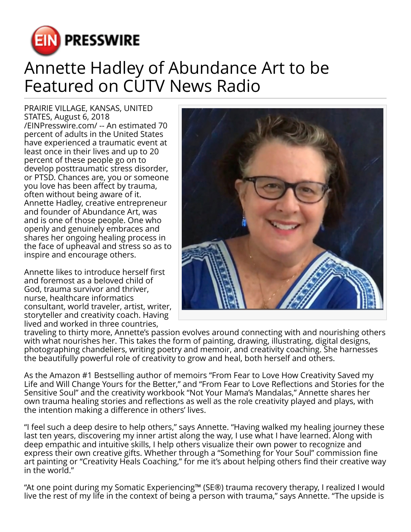

## Annette Hadley of Abundance Art to be Featured on CUTV News Radio

PRAIRIE VILLAGE, KANSAS, UNITED STATES, August 6, 2018 [/EINPresswire.com/](http://www.einpresswire.com) -- An estimated 70 percent of adults in the United States have experienced a traumatic event at least once in their lives and up to 20 percent of these people go on to develop posttraumatic stress disorder, or PTSD. Chances are, you or someone you love has been affect by trauma, often without being aware of it. Annette Hadley, creative entrepreneur and founder of Abundance Art, was and is one of those people. One who openly and genuinely embraces and shares her ongoing healing process in the face of upheaval and stress so as to inspire and encourage others.

Annette likes to introduce herself first and foremost as a beloved child of God, trauma survivor and thriver, nurse, healthcare informatics consultant, world traveler, artist, writer, storyteller and creativity coach. Having lived and worked in three countries,



traveling to thirty more, Annette's passion evolves around connecting with and nourishing others with what nourishes her. This takes the form of painting, drawing, illustrating, digital designs, photographing chandeliers, writing poetry and memoir, and creativity coaching. She harnesses the beautifully powerful role of creativity to grow and heal, both herself and others.

As the Amazon #1 Bestselling author of memoirs "From Fear to Love How Creativity Saved my Life and Will Change Yours for the Better," and "From Fear to Love Reflections and Stories for the Sensitive Soul" and the creativity workbook "Not Your Mama's Mandalas," Annette shares her own trauma healing stories and reflections as well as the role creativity played and plays, with the intention making a difference in others' lives.

"I feel such a deep desire to help others," says Annette. "Having walked my healing journey these last ten years, discovering my inner artist along the way, I use what I have learned. Along with deep empathic and intuitive skills, I help others visualize their own power to recognize and express their own creative gifts. Whether through a "Something for Your Soul" commission fine art painting or "Creativity Heals Coaching," for me it's about helping others find their creative way in the world."

"At one point during my Somatic Experiencing™ (SE®) trauma recovery therapy, I realized I would live the rest of my life in the context of being a person with trauma," says Annette. "The upside is